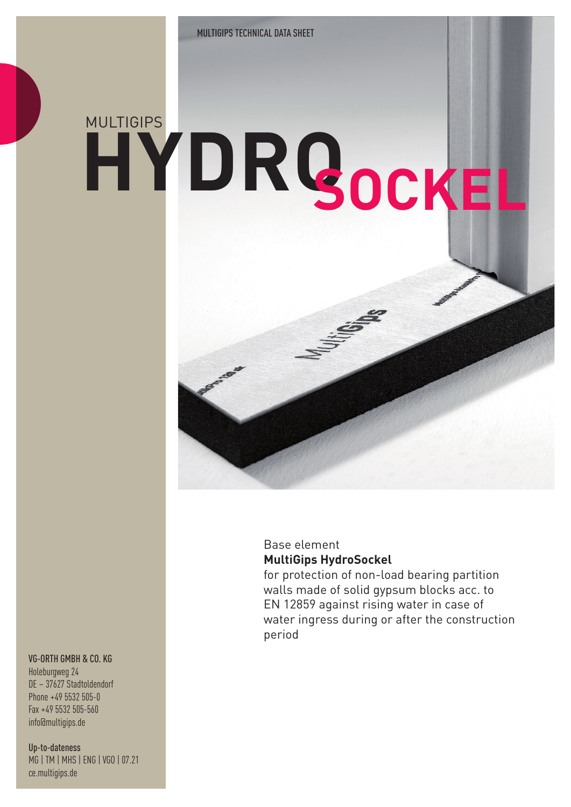# **HYDRO** MULTIGIPS **SOCKEL**

### Base element **MultiGips HydroSockel**

for protection of non-load bearing partition walls made of solid gypsum blocks acc. to EN 12859 against rising water in case of water ingress during or after the construction period

#### VG-ORTH GMBH & CO. KG

Holeburgweg 24 DE – 37627 Stadtoldendorf Phone +49 5532 505-0 Fax +49 5532 505-560 info@multigips.de

Up-to-dateness MG | TM | MHS | ENG | VGO | 07.21 ce.multigips.de